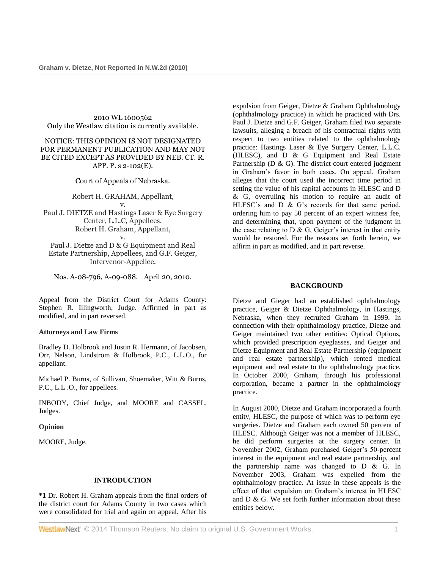2010 WL 1600562 Only the Westlaw citation is currently available.

#### NOTICE: THIS OPINION IS NOT DESIGNATED FOR PERMANENT PUBLICATION AND MAY NOT BE CITED EXCEPT AS PROVIDED BY NEB. CT. R. APP. P. s 2-102(E).

Court of Appeals of Nebraska.

Robert H. GRAHAM, Appellant, v. Paul J. DIETZE and Hastings Laser & Eye Surgery Center, L.L.C, Appellees. Robert H. Graham, Appellant, v.

Paul J. Dietze and D & G Equipment and Real Estate Partnership, Appellees, and G.F. Geiger, Intervenor-Appellee.

Nos. A-08-796, A-09-088. | April 20, 2010.

Appeal from the District Court for Adams County: [Stephen R. Illingworth,](http://www.westlaw.com/Link/Document/FullText?findType=h&pubNum=176284&cite=0127458601&originatingDoc=I40a3ae484d7711dfaad3d35f6227d4a8&refType=RQ&originationContext=document&vr=3.0&rs=cblt1.0&transitionType=DocumentItem&contextData=(sc.Search)) Judge. Affirmed in part as modified, and in part reversed.

#### **Attorneys and Law Firms**

[Bradley D. Holbrook](http://www.westlaw.com/Link/Document/FullText?findType=h&pubNum=176284&cite=0318913701&originatingDoc=I40a3ae484d7711dfaad3d35f6227d4a8&refType=RQ&originationContext=document&vr=3.0&rs=cblt1.0&transitionType=DocumentItem&contextData=(sc.Search)) and Justin R. Hermann, of Jacobsen, Orr, Nelson, Lindstrom & Holbrook, P.C., L.L.O., for appellant.

[Michael P. Burns,](http://www.westlaw.com/Link/Document/FullText?findType=h&pubNum=176284&cite=0132365701&originatingDoc=I40a3ae484d7711dfaad3d35f6227d4a8&refType=RQ&originationContext=document&vr=3.0&rs=cblt1.0&transitionType=DocumentItem&contextData=(sc.Search)) of Sullivan, Shoemaker, Witt & Burns, P.C., L.L .O., for appellees.

[INBODY,](http://www.westlaw.com/Link/Document/FullText?findType=h&pubNum=176284&cite=0140051701&originatingDoc=I40a3ae484d7711dfaad3d35f6227d4a8&refType=RQ&originationContext=document&vr=3.0&rs=cblt1.0&transitionType=DocumentItem&contextData=(sc.Search)) Chief Judge, and [MOORE](http://www.westlaw.com/Link/Document/FullText?findType=h&pubNum=176284&cite=0156748101&originatingDoc=I40a3ae484d7711dfaad3d35f6227d4a8&refType=RQ&originationContext=document&vr=3.0&rs=cblt1.0&transitionType=DocumentItem&contextData=(sc.Search)) and [CASSEL,](http://www.westlaw.com/Link/Document/FullText?findType=h&pubNum=176284&cite=0164811701&originatingDoc=I40a3ae484d7711dfaad3d35f6227d4a8&refType=RQ&originationContext=document&vr=3.0&rs=cblt1.0&transitionType=DocumentItem&contextData=(sc.Search)) Judges.

**Opinion**

[MOORE,](http://www.westlaw.com/Link/Document/FullText?findType=h&pubNum=176284&cite=0156748101&originatingDoc=I40a3ae484d7711dfaad3d35f6227d4a8&refType=RQ&originationContext=document&vr=3.0&rs=cblt1.0&transitionType=DocumentItem&contextData=(sc.Search)) Judge.

# **INTRODUCTION**

**\*1** Dr. Robert H. Graham appeals from the final orders of the district court for Adams County in two cases which were consolidated for trial and again on appeal. After his expulsion from Geiger, Dietze & Graham Ophthalmology (ophthalmology practice) in which he practiced with Drs. Paul J. Dietze and G.F. Geiger, Graham filed two separate lawsuits, alleging a breach of his contractual rights with respect to two entities related to the ophthalmology practice: Hastings Laser & Eye Surgery Center, L.L.C. (HLESC), and D & G Equipment and Real Estate Partnership ( $D \& G$ ). The district court entered judgment in Graham's favor in both cases. On appeal, Graham alleges that the court used the incorrect time period in setting the value of his capital accounts in HLESC and D & G, overruling his motion to require an audit of HLESC's and  $D \& G$ 's records for that same period, ordering him to pay 50 percent of an expert witness fee, and determining that, upon payment of the judgment in the case relating to  $D \& G$ , Geiger's interest in that entity would be restored. For the reasons set forth herein, we affirm in part as modified, and in part reverse.

#### **BACKGROUND**

Dietze and Gieger had an established ophthalmology practice, Geiger & Dietze Ophthalmology, in Hastings, Nebraska, when they recruited Graham in 1999. In connection with their ophthalmology practice, Dietze and Geiger maintained two other entities: Optical Options, which provided prescription eyeglasses, and Geiger and Dietze Equipment and Real Estate Partnership (equipment and real estate partnership), which rented medical equipment and real estate to the ophthalmology practice. In October 2000, Graham, through his professional corporation, became a partner in the ophthalmology practice.

In August 2000, Dietze and Graham incorporated a fourth entity, HLESC, the purpose of which was to perform eye surgeries. Dietze and Graham each owned 50 percent of HLESC. Although Geiger was not a member of HLESC, he did perform surgeries at the surgery center. In November 2002, Graham purchased Geiger's 50-percent interest in the equipment and real estate partnership, and the partnership name was changed to D & G. In November 2003, Graham was expelled from the ophthalmology practice. At issue in these appeals is the effect of that expulsion on Graham's interest in HLESC and D & G. We set forth further information about these entities below.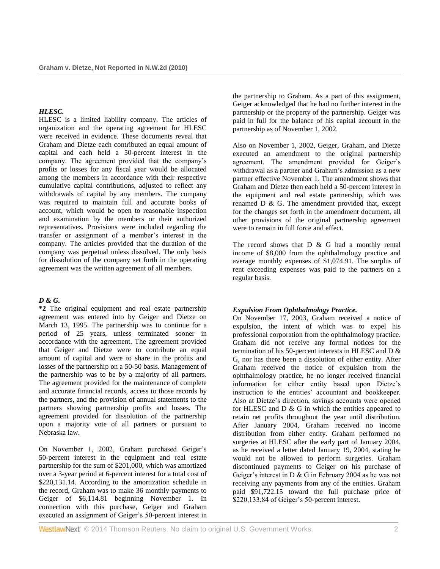#### *HLESC.*

HLESC is a limited liability company. The articles of organization and the operating agreement for HLESC were received in evidence. These documents reveal that Graham and Dietze each contributed an equal amount of capital and each held a 50-percent interest in the company. The agreement provided that the company's profits or losses for any fiscal year would be allocated among the members in accordance with their respective cumulative capital contributions, adjusted to reflect any withdrawals of capital by any members. The company was required to maintain full and accurate books of account, which would be open to reasonable inspection and examination by the members or their authorized representatives. Provisions were included regarding the transfer or assignment of a member's interest in the company. The articles provided that the duration of the company was perpetual unless dissolved. The only basis for dissolution of the company set forth in the operating agreement was the written agreement of all members.

# *D & G.*

**\*2** The original equipment and real estate partnership agreement was entered into by Geiger and Dietze on March 13, 1995. The partnership was to continue for a period of 25 years, unless terminated sooner in accordance with the agreement. The agreement provided that Geiger and Dietze were to contribute an equal amount of capital and were to share in the profits and losses of the partnership on a 50-50 basis. Management of the partnership was to be by a majority of all partners. The agreement provided for the maintenance of complete and accurate financial records, access to those records by the partners, and the provision of annual statements to the partners showing partnership profits and losses. The agreement provided for dissolution of the partnership upon a majority vote of all partners or pursuant to Nebraska law.

On November 1, 2002, Graham purchased Geiger's 50-percent interest in the equipment and real estate partnership for the sum of \$201,000, which was amortized over a 3-year period at 6-percent interest for a total cost of \$220,131.14. According to the amortization schedule in the record, Graham was to make 36 monthly payments to Geiger of \$6,114.81 beginning November 1. In connection with this purchase, Geiger and Graham executed an assignment of Geiger's 50-percent interest in

the partnership to Graham. As a part of this assignment, Geiger acknowledged that he had no further interest in the partnership or the property of the partnership. Geiger was paid in full for the balance of his capital account in the partnership as of November 1, 2002.

Also on November 1, 2002, Geiger, Graham, and Dietze executed an amendment to the original partnership agreement. The amendment provided for Geiger's withdrawal as a partner and Graham's admission as a new partner effective November 1. The amendment shows that Graham and Dietze then each held a 50-percent interest in the equipment and real estate partnership, which was renamed D & G. The amendment provided that, except for the changes set forth in the amendment document, all other provisions of the original partnership agreement were to remain in full force and effect.

The record shows that  $D \& G$  had a monthly rental income of \$8,000 from the ophthalmology practice and average monthly expenses of \$1,074.91. The surplus of rent exceeding expenses was paid to the partners on a regular basis.

#### *Expulsion From Ophthalmology Practice.*

On November 17, 2003, Graham received a notice of expulsion, the intent of which was to expel his professional corporation from the ophthalmology practice. Graham did not receive any formal notices for the termination of his 50-percent interests in HLESC and D & G, nor has there been a dissolution of either entity. After Graham received the notice of expulsion from the ophthalmology practice, he no longer received financial information for either entity based upon Dietze's instruction to the entities' accountant and bookkeeper. Also at Dietze's direction, savings accounts were opened for HLESC and  $D \& G$  in which the entities appeared to retain net profits throughout the year until distribution. After January 2004, Graham received no income distribution from either entity. Graham performed no surgeries at HLESC after the early part of January 2004, as he received a letter dated January 19, 2004, stating he would not be allowed to perform surgeries. Graham discontinued payments to Geiger on his purchase of Geiger's interest in D & G in February 2004 as he was not receiving any payments from any of the entities. Graham paid \$91,722.15 toward the full purchase price of \$220,133.84 of Geiger's 50-percent interest.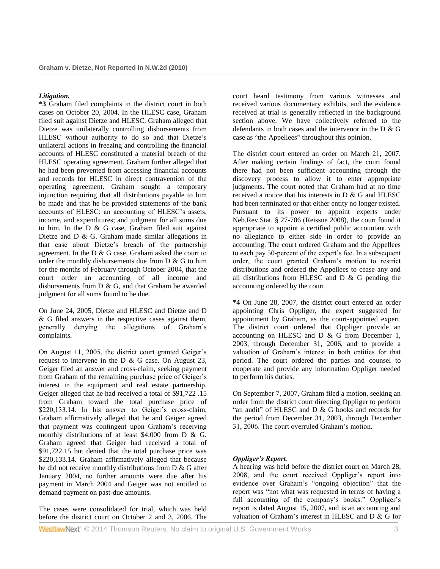# *Litigation.*

**\*3** Graham filed complaints in the district court in both cases on October 20, 2004. In the HLESC case, Graham filed suit against Dietze and HLESC. Graham alleged that Dietze was unilaterally controlling disbursements from HLESC without authority to do so and that Dietze's unilateral actions in freezing and controlling the financial accounts of HLESC constituted a material breach of the HLESC operating agreement. Graham further alleged that he had been prevented from accessing financial accounts and records for HLESC in direct contravention of the operating agreement. Graham sought a temporary injunction requiring that all distributions payable to him be made and that he be provided statements of the bank accounts of HLESC; an accounting of HLESC's assets, income, and expenditures; and judgment for all sums due to him. In the D & G case, Graham filed suit against Dietze and D & G. Graham made similar allegations in that case about Dietze's breach of the partnership agreement. In the D & G case, Graham asked the court to order the monthly disbursements due from D & G to him for the months of February through October 2004, that the court order an accounting of all income and disbursements from D & G, and that Graham be awarded judgment for all sums found to be due.

On June 24, 2005, Dietze and HLESC and Dietze and D & G filed answers in the respective cases against them, generally denying the allegations of Graham's complaints.

On August 11, 2005, the district court granted Geiger's request to intervene in the D & G case. On August 23, Geiger filed an answer and cross-claim, seeking payment from Graham of the remaining purchase price of Geiger's interest in the equipment and real estate partnership. Geiger alleged that he had received a total of \$91,722 .15 from Graham toward the total purchase price of \$220,133.14. In his answer to Geiger's cross-claim, Graham affirmatively alleged that he and Geiger agreed that payment was contingent upon Graham's receiving monthly distributions of at least \$4,000 from D & G. Graham agreed that Geiger had received a total of \$91,722.15 but denied that the total purchase price was \$220,133.14. Graham affirmatively alleged that because he did not receive monthly distributions from D & G after January 2004, no further amounts were due after his payment in March 2004 and Geiger was not entitled to demand payment on past-due amounts.

The cases were consolidated for trial, which was held before the district court on October 2 and 3, 2006. The court heard testimony from various witnesses and received various documentary exhibits, and the evidence received at trial is generally reflected in the background section above. We have collectively referred to the defendants in both cases and the intervenor in the D & G case as "the Appellees" throughout this opinion.

The district court entered an order on March 21, 2007. After making certain findings of fact, the court found there had not been sufficient accounting through the discovery process to allow it to enter appropriate judgments. The court noted that Graham had at no time received a notice that his interests in D & G and HLESC had been terminated or that either entity no longer existed. Pursuant to its power to appoint experts under [Neb.Rev.Stat. § 27-706 \(Reissue 2008\),](http://www.westlaw.com/Link/Document/FullText?findType=L&pubNum=1000257&cite=NESTS27-706&originatingDoc=I40a3ae484d7711dfaad3d35f6227d4a8&refType=LQ&originationContext=document&vr=3.0&rs=cblt1.0&transitionType=DocumentItem&contextData=(sc.Search)) the court found it appropriate to appoint a certified public accountant with no allegiance to either side in order to provide an accounting. The court ordered Graham and the Appellees to each pay 50-percent of the expert's fee. In a subsequent order, the court granted Graham's motion to restrict distributions and ordered the Appellees to cease any and all distributions from HLESC and  $D \& G$  pending the accounting ordered by the court.

**\*4** On June 28, 2007, the district court entered an order appointing Chris Oppliger, the expert suggested for appointment by Graham, as the court-appointed expert. The district court ordered that Oppliger provide an accounting on HLESC and D & G from December 1, 2003, through December 31, 2006, and to provide a valuation of Graham's interest in both entities for that period. The court ordered the parties and counsel to cooperate and provide any information Oppliger needed to perform his duties.

On September 7, 2007, Graham filed a motion, seeking an order from the district court directing Oppliger to perform "an audit" of HLESC and D & G books and records for the period from December 31, 2003, through December 31, 2006. The court overruled Graham's motion.

# *Oppliger's Report.*

A hearing was held before the district court on March 28, 2008, and the court received Oppliger's report into evidence over Graham's "ongoing objection" that the report was "not what was requested in terms of having a full accounting of the company's books." Oppliger's report is dated August 15, 2007, and is an accounting and valuation of Graham's interest in HLESC and D & G for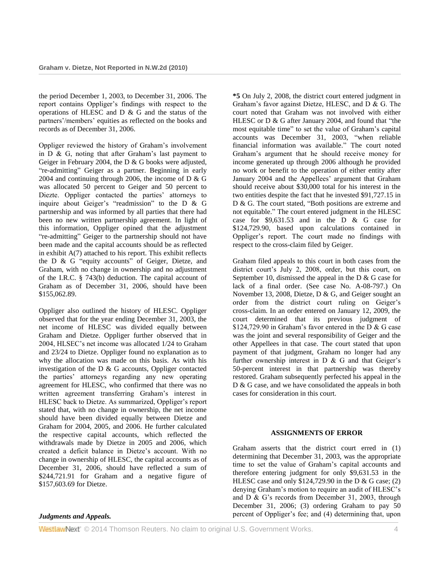the period December 1, 2003, to December 31, 2006. The report contains Oppliger's findings with respect to the operations of HLESC and D & G and the status of the partners'/members' equities as reflected on the books and records as of December 31, 2006.

Oppliger reviewed the history of Graham's involvement in  $D \& G$ , noting that after Graham's last payment to Geiger in February 2004, the D & G books were adjusted, "re-admitting" Geiger as a partner. Beginning in early 2004 and continuing through 2006, the income of D  $\&$  G was allocated 50 percent to Geiger and 50 percent to Diezte. Oppliger contacted the parties' attorneys to inquire about Geiger's "readmission" to the D & G partnership and was informed by all parties that there had been no new written partnership agreement. In light of this information, Oppliger opined that the adjustment "re-admitting" Geiger to the partnership should not have been made and the capital accounts should be as reflected in exhibit A(7) attached to his report. This exhibit reflects the D & G "equity accounts" of Geiger, Dietze, and Graham, with no change in ownership and no adjustment of the [I.R.C. § 743\(b\)](http://www.westlaw.com/Link/Document/FullText?findType=L&pubNum=1012823&cite=26USCAS743&originationContext=document&vr=3.0&rs=cblt1.0&transitionType=DocumentItem&contextData=(sc.Search)#co_pp_a83b000018c76) deduction. The capital account of Graham as of December 31, 2006, should have been \$155,062.89.

Oppliger also outlined the history of HLESC. Oppliger observed that for the year ending December 31, 2003, the net income of HLESC was divided equally between Graham and Dietze. Oppliger further observed that in 2004, HLSEC's net income was allocated 1/24 to Graham and 23/24 to Dietze. Oppliger found no explanation as to why the allocation was made on this basis. As with his investigation of the D & G accounts, Oppliger contacted the parties' attorneys regarding any new operating agreement for HLESC, who confirmed that there was no written agreement transferring Graham's interest in HLESC back to Dietze. As summarized, Oppliger's report stated that, with no change in ownership, the net income should have been divided equally between Dietze and Graham for 2004, 2005, and 2006. He further calculated the respective capital accounts, which reflected the withdrawals made by Dietze in 2005 and 2006, which created a deficit balance in Dietze's account. With no change in ownership of HLESC, the capital accounts as of December 31, 2006, should have reflected a sum of \$244,721.91 for Graham and a negative figure of \$157,603.69 for Dietze.

**\*5** On July 2, 2008, the district court entered judgment in Graham's favor against Dietze, HLESC, and D & G. The court noted that Graham was not involved with either HLESC or D & G after January 2004, and found that "the most equitable time" to set the value of Graham's capital accounts was December 31, 2003, "when reliable financial information was available." The court noted Graham's argument that he should receive money for income generated up through 2006 although he provided no work or benefit to the operation of either entity after January 2004 and the Appellees' argument that Graham should receive about \$30,000 total for his interest in the two entities despite the fact that he invested \$91,727.15 in D & G. The court stated, "Both positions are extreme and not equitable." The court entered judgment in the HLESC case for \$9,631.53 and in the D & G case for \$124,729.90, based upon calculations contained in Oppliger's report. The court made no findings with respect to the cross-claim filed by Geiger.

Graham filed appeals to this court in both cases from the district court's July 2, 2008, order, but this court, on September 10, dismissed the appeal in the  $D \& G$  case for lack of a final order. (See case No. A-08-797.) On November 13, 2008, Dietze, D & G, and Geiger sought an order from the district court ruling on Geiger's cross-claim. In an order entered on January 12, 2009, the court determined that its previous judgment of  $$124,729.90$  in Graham's favor entered in the D & G case was the joint and several responsibility of Geiger and the other Appellees in that case. The court stated that upon payment of that judgment, Graham no longer had any further ownership interest in  $D \& G$  and that Geiger's 50-percent interest in that partnership was thereby restored. Graham subsequently perfected his appeal in the D & G case, and we have consolidated the appeals in both cases for consideration in this court.

# **ASSIGNMENTS OF ERROR**

Graham asserts that the district court erred in (1) determining that December 31, 2003, was the appropriate time to set the value of Graham's capital accounts and therefore entering judgment for only \$9,631.53 in the HLESC case and only \$124,729.90 in the D & G case; (2) denying Graham's motion to require an audit of HLESC's and D & G's records from December 31, 2003, through December 31, 2006; (3) ordering Graham to pay 50 percent of Oppliger's fee; and (4) determining that, upon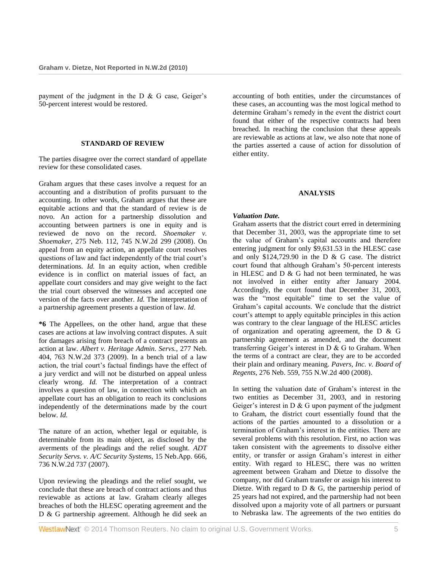payment of the judgment in the  $D \& G$  case, Geiger's 50-percent interest would be restored.

#### **STANDARD OF REVIEW**

The parties disagree over the correct standard of appellate review for these consolidated cases.

Graham argues that these cases involve a request for an accounting and a distribution of profits pursuant to the accounting. In other words, Graham argues that these are equitable actions and that the standard of review is de novo. An action for a partnership dissolution and accounting between partners is one in equity and is reviewed de novo on the record. *[Shoemaker v.](http://www.westlaw.com/Link/Document/FullText?findType=Y&serNum=2015343448&pubNum=595&originationContext=document&vr=3.0&rs=cblt1.0&transitionType=DocumentItem&contextData=(sc.Search))  Shoemaker,* [275 Neb. 112, 745 N.W.2d 299 \(2008\).](http://www.westlaw.com/Link/Document/FullText?findType=Y&serNum=2015343448&pubNum=595&originationContext=document&vr=3.0&rs=cblt1.0&transitionType=DocumentItem&contextData=(sc.Search)) On appeal from an equity action, an appellate court resolves questions of law and fact independently of the trial court's determinations. *Id.* In an equity action, when credible evidence is in conflict on material issues of fact, an appellate court considers and may give weight to the fact the trial court observed the witnesses and accepted one version of the facts over another. *Id.* The interpretation of a partnership agreement presents a question of law. *Id.*

**\*6** The Appellees, on the other hand, argue that these cases are actions at law involving contract disputes. A suit for damages arising from breach of a contract presents an action at law. *[Albert v. Heritage Admin. Servs.,](http://www.westlaw.com/Link/Document/FullText?findType=Y&serNum=2018405156&pubNum=595&originationContext=document&vr=3.0&rs=cblt1.0&transitionType=DocumentItem&contextData=(sc.Search))* 277 Neb. [404, 763 N.W.2d 373 \(2009\).](http://www.westlaw.com/Link/Document/FullText?findType=Y&serNum=2018405156&pubNum=595&originationContext=document&vr=3.0&rs=cblt1.0&transitionType=DocumentItem&contextData=(sc.Search)) In a bench trial of a law action, the trial court's factual findings have the effect of a jury verdict and will not be disturbed on appeal unless clearly wrong. *Id.* The interpretation of a contract involves a question of law, in connection with which an appellate court has an obligation to reach its conclusions independently of the determinations made by the court below. *Id.*

The nature of an action, whether legal or equitable, is determinable from its main object, as disclosed by the averments of the pleadings and the relief sought. *[ADT](http://www.westlaw.com/Link/Document/FullText?findType=Y&serNum=2012607638&pubNum=595&originationContext=document&vr=3.0&rs=cblt1.0&transitionType=DocumentItem&contextData=(sc.Search))  [Security Servs. v. A/C Security Systems,](http://www.westlaw.com/Link/Document/FullText?findType=Y&serNum=2012607638&pubNum=595&originationContext=document&vr=3.0&rs=cblt1.0&transitionType=DocumentItem&contextData=(sc.Search))* 15 Neb.App. 666, [736 N.W.2d 737 \(2007\).](http://www.westlaw.com/Link/Document/FullText?findType=Y&serNum=2012607638&pubNum=595&originationContext=document&vr=3.0&rs=cblt1.0&transitionType=DocumentItem&contextData=(sc.Search))

Upon reviewing the pleadings and the relief sought, we conclude that these are breach of contract actions and thus reviewable as actions at law. Graham clearly alleges breaches of both the HLESC operating agreement and the D & G partnership agreement. Although he did seek an accounting of both entities, under the circumstances of these cases, an accounting was the most logical method to determine Graham's remedy in the event the district court found that either of the respective contracts had been breached. In reaching the conclusion that these appeals are reviewable as actions at law, we also note that none of the parties asserted a cause of action for dissolution of either entity.

# **ANALYSIS**

# *Valuation Date.*

Graham asserts that the district court erred in determining that December 31, 2003, was the appropriate time to set the value of Graham's capital accounts and therefore entering judgment for only \$9,631.53 in the HLESC case and only \$124,729.90 in the D & G case. The district court found that although Graham's 50-percent interests in HLESC and D & G had not been terminated, he was not involved in either entity after January 2004. Accordingly, the court found that December 31, 2003, was the "most equitable" time to set the value of Graham's capital accounts. We conclude that the district court's attempt to apply equitable principles in this action was contrary to the clear language of the HLESC articles of organization and operating agreement, the D & G partnership agreement as amended, and the document transferring Geiger's interest in D & G to Graham. When the terms of a contract are clear, they are to be accorded their plain and ordinary meaning. *[Pavers, Inc. v. Board of](http://www.westlaw.com/Link/Document/FullText?findType=Y&serNum=2016974106&pubNum=595&originationContext=document&vr=3.0&rs=cblt1.0&transitionType=DocumentItem&contextData=(sc.Search))  Regents,* [276 Neb. 559, 755 N.W.2d 400 \(2008\).](http://www.westlaw.com/Link/Document/FullText?findType=Y&serNum=2016974106&pubNum=595&originationContext=document&vr=3.0&rs=cblt1.0&transitionType=DocumentItem&contextData=(sc.Search))

In setting the valuation date of Graham's interest in the two entities as December 31, 2003, and in restoring Geiger's interest in  $D \& G$  upon payment of the judgment to Graham, the district court essentially found that the actions of the parties amounted to a dissolution or a termination of Graham's interest in the entities. There are several problems with this resolution. First, no action was taken consistent with the agreements to dissolve either entity, or transfer or assign Graham's interest in either entity. With regard to HLESC, there was no written agreement between Graham and Dietze to dissolve the company, nor did Graham transfer or assign his interest to Dietze. With regard to  $D \& G$ , the partnership period of 25 years had not expired, and the partnership had not been dissolved upon a majority vote of all partners or pursuant to Nebraska law. The agreements of the two entities do

WestlawNext<sup>®</sup> © 2014 Thomson Reuters. No claim to original U.S. Government Works. 5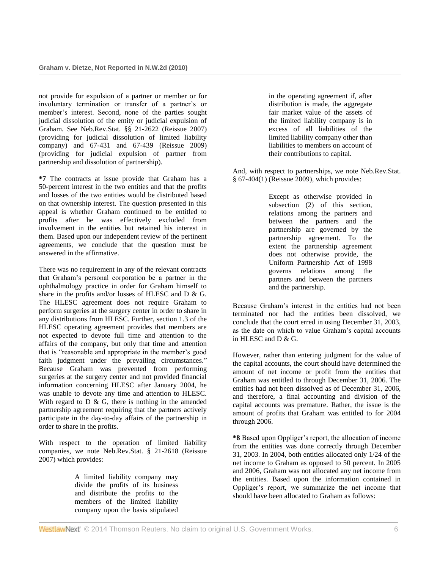not provide for expulsion of a partner or member or for involuntary termination or transfer of a partner's or member's interest. Second, none of the parties sought judicial dissolution of the entity or judicial expulsion of Graham. See [Neb.Rev.Stat. §§ 21-2622 \(Reissue 2007\)](http://www.westlaw.com/Link/Document/FullText?findType=L&pubNum=1000257&cite=NESTS21-2622&originatingDoc=I40a3ae484d7711dfaad3d35f6227d4a8&refType=LQ&originationContext=document&vr=3.0&rs=cblt1.0&transitionType=DocumentItem&contextData=(sc.Search)) (providing for judicial dissolution of limited liability company) and 67-431 and 67-439 (Reissue 2009) (providing for judicial expulsion of partner from partnership and dissolution of partnership).

**\*7** The contracts at issue provide that Graham has a 50-percent interest in the two entities and that the profits and losses of the two entities would be distributed based on that ownership interest. The question presented in this appeal is whether Graham continued to be entitled to profits after he was effectively excluded from involvement in the entities but retained his interest in them. Based upon our independent review of the pertinent agreements, we conclude that the question must be answered in the affirmative.

There was no requirement in any of the relevant contracts that Graham's personal corporation be a partner in the ophthalmology practice in order for Graham himself to share in the profits and/or losses of HLESC and D & G. The HLESC agreement does not require Graham to perform surgeries at the surgery center in order to share in any distributions from HLESC. Further, section 1.3 of the HLESC operating agreement provides that members are not expected to devote full time and attention to the affairs of the company, but only that time and attention that is "reasonable and appropriate in the member's good faith judgment under the prevailing circumstances." Because Graham was prevented from performing surgeries at the surgery center and not provided financial information concerning HLESC after January 2004, he was unable to devote any time and attention to HLESC. With regard to  $D \& G$ , there is nothing in the amended partnership agreement requiring that the partners actively participate in the day-to-day affairs of the partnership in order to share in the profits.

With respect to the operation of limited liability companies, we note [Neb.Rev.Stat. § 21-2618 \(Reissue](http://www.westlaw.com/Link/Document/FullText?findType=L&pubNum=1000257&cite=NESTS21-2618&originatingDoc=I40a3ae484d7711dfaad3d35f6227d4a8&refType=LQ&originationContext=document&vr=3.0&rs=cblt1.0&transitionType=DocumentItem&contextData=(sc.Search))  [2007\)](http://www.westlaw.com/Link/Document/FullText?findType=L&pubNum=1000257&cite=NESTS21-2618&originatingDoc=I40a3ae484d7711dfaad3d35f6227d4a8&refType=LQ&originationContext=document&vr=3.0&rs=cblt1.0&transitionType=DocumentItem&contextData=(sc.Search)) which provides:

> A limited liability company may divide the profits of its business and distribute the profits to the members of the limited liability company upon the basis stipulated

in the operating agreement if, after distribution is made, the aggregate fair market value of the assets of the limited liability company is in excess of all liabilities of the limited liability company other than liabilities to members on account of their contributions to capital.

And, with respect to partnerships, we note [Neb.Rev.Stat.](http://www.westlaw.com/Link/Document/FullText?findType=L&pubNum=1000257&cite=NESTS67-404&originatingDoc=I40a3ae484d7711dfaad3d35f6227d4a8&refType=LQ&originationContext=document&vr=3.0&rs=cblt1.0&transitionType=DocumentItem&contextData=(sc.Search))  [§ 67-404\(1\) \(Reissue 2009\),](http://www.westlaw.com/Link/Document/FullText?findType=L&pubNum=1000257&cite=NESTS67-404&originatingDoc=I40a3ae484d7711dfaad3d35f6227d4a8&refType=LQ&originationContext=document&vr=3.0&rs=cblt1.0&transitionType=DocumentItem&contextData=(sc.Search)) which provides:

> Except as otherwise provided in subsection (2) of this section, relations among the partners and between the partners and the partnership are governed by the partnership agreement. To the extent the partnership agreement does not otherwise provide, the Uniform Partnership Act of 1998 governs relations among the partners and between the partners and the partnership.

Because Graham's interest in the entities had not been terminated nor had the entities been dissolved, we conclude that the court erred in using December 31, 2003, as the date on which to value Graham's capital accounts in HLESC and D & G.

However, rather than entering judgment for the value of the capital accounts, the court should have determined the amount of net income or profit from the entities that Graham was entitled to through December 31, 2006. The entities had not been dissolved as of December 31, 2006, and therefore, a final accounting and division of the capital accounts was premature. Rather, the issue is the amount of profits that Graham was entitled to for 2004 through 2006.

**\*8** Based upon Oppliger's report, the allocation of income from the entities was done correctly through December 31, 2003. In 2004, both entities allocated only 1/24 of the net income to Graham as opposed to 50 percent. In 2005 and 2006, Graham was not allocated any net income from the entities. Based upon the information contained in Oppliger's report, we summarize the net income that should have been allocated to Graham as follows:

WestlawNext<sup>®</sup> © 2014 Thomson Reuters. No claim to original U.S. Government Works. 66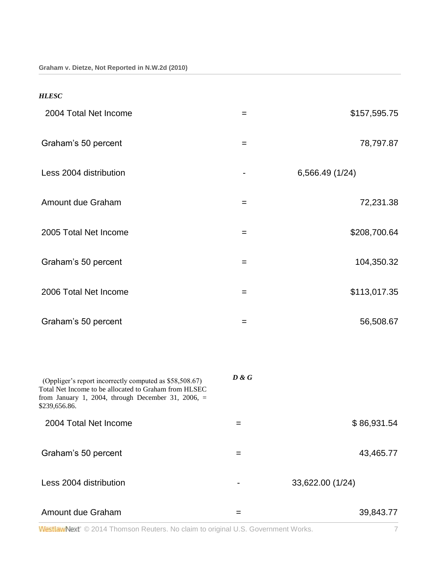| <b>HLESC</b>           |     |                 |
|------------------------|-----|-----------------|
| 2004 Total Net Income  | $=$ | \$157,595.75    |
| Graham's 50 percent    | $=$ | 78,797.87       |
| Less 2004 distribution | -   | 6,566.49 (1/24) |
| Amount due Graham      | $=$ | 72,231.38       |
| 2005 Total Net Income  | $=$ | \$208,700.64    |
| Graham's 50 percent    | $=$ | 104,350.32      |
| 2006 Total Net Income  | $=$ | \$113,017.35    |
| Graham's 50 percent    | $=$ | 56,508.67       |

| (Oppliger's report incorrectly computed as \$58,508.67)<br>Total Net Income to be allocated to Graham from HLSEC<br>from January 1, 2004, through December 31, 2006, $=$<br>\$239,656.86. | D & G |                  |
|-------------------------------------------------------------------------------------------------------------------------------------------------------------------------------------------|-------|------------------|
| 2004 Total Net Income                                                                                                                                                                     |       | \$86,931.54      |
| Graham's 50 percent                                                                                                                                                                       | =     | 43,465.77        |
| Less 2004 distribution                                                                                                                                                                    |       | 33,622.00 (1/24) |
| Amount due Graham                                                                                                                                                                         |       | 39,843.77        |

WestlawNext<sup>®</sup> © 2014 Thomson Reuters. No claim to original U.S. Government Works.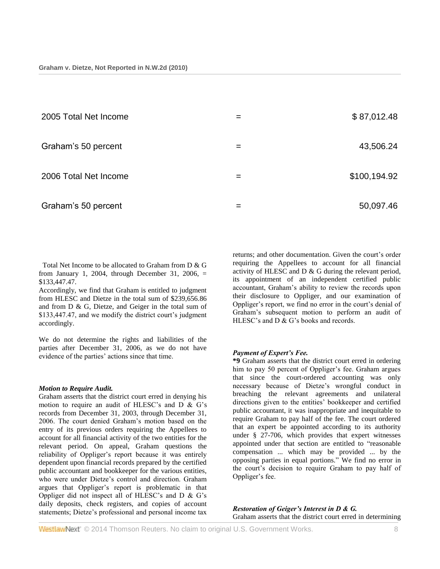| 2005 Total Net Income | = | \$87,012.48  |
|-----------------------|---|--------------|
| Graham's 50 percent   | = | 43,506.24    |
| 2006 Total Net Income | = | \$100,194.92 |
| Graham's 50 percent   | = | 50,097.46    |

Total Net Income to be allocated to Graham from D & G from January 1, 2004, through December 31, 2006,  $=$ \$133,447.47.

Accordingly, we find that Graham is entitled to judgment from HLESC and Dietze in the total sum of \$239,656.86 and from D & G, Dietze, and Geiger in the total sum of \$133,447.47, and we modify the district court's judgment accordingly.

We do not determine the rights and liabilities of the parties after December 31, 2006, as we do not have evidence of the parties' actions since that time.

#### *Motion to Require Audit.*

Graham asserts that the district court erred in denying his motion to require an audit of HLESC's and D & G's records from December 31, 2003, through December 31, 2006. The court denied Graham's motion based on the entry of its previous orders requiring the Appellees to account for all financial activity of the two entities for the relevant period. On appeal, Graham questions the reliability of Oppliger's report because it was entirely dependent upon financial records prepared by the certified public accountant and bookkeeper for the various entities, who were under Dietze's control and direction. Graham argues that Oppliger's report is problematic in that Oppliger did not inspect all of HLESC's and D & G's daily deposits, check registers, and copies of account statements; Dietze's professional and personal income tax returns; and other documentation. Given the court's order requiring the Appellees to account for all financial activity of HLESC and D & G during the relevant period, its appointment of an independent certified public accountant, Graham's ability to review the records upon their disclosure to Oppliger, and our examination of Oppliger's report, we find no error in the court's denial of Graham's subsequent motion to perform an audit of HLESC's and D & G's books and records.

# *Payment of Expert's Fee.*

**\*9** Graham asserts that the district court erred in ordering him to pay 50 percent of Oppliger's fee. Graham argues that since the court-ordered accounting was only necessary because of Dietze's wrongful conduct in breaching the relevant agreements and unilateral directions given to the entities' bookkeeper and certified public accountant, it was inappropriate and inequitable to require Graham to pay half of the fee. The court ordered that an expert be appointed according to its authority under [§ 27-706,](http://www.westlaw.com/Link/Document/FullText?findType=L&pubNum=1000257&cite=NESTS27-706&originatingDoc=I40a3ae484d7711dfaad3d35f6227d4a8&refType=LQ&originationContext=document&vr=3.0&rs=cblt1.0&transitionType=DocumentItem&contextData=(sc.Search)) which provides that expert witnesses appointed under that section are entitled to "reasonable compensation ... which may be provided ... by the opposing parties in equal portions." We find no error in the court's decision to require Graham to pay half of Oppliger's fee.

*Restoration of Geiger's Interest in D & G.* Graham asserts that the district court erred in determining